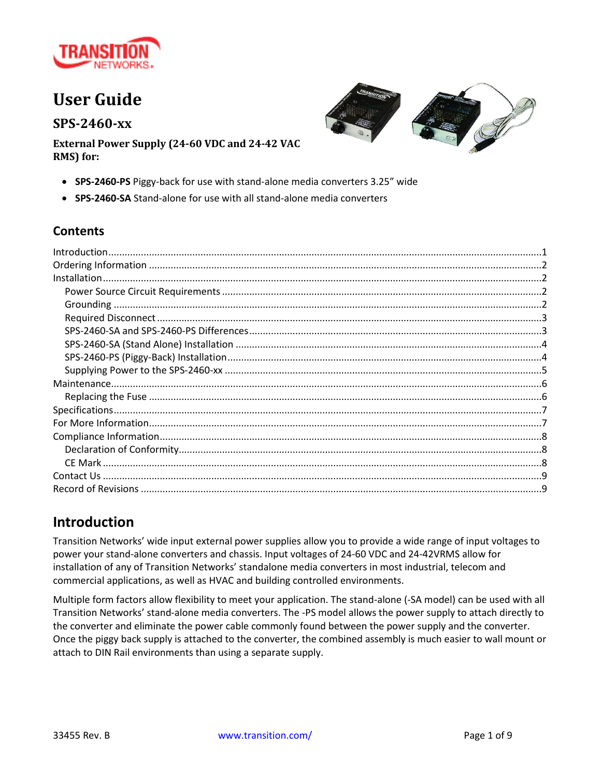

# **User Guide**

**SPS-2460-xx**



**External Power Supply (24-60 VDC and 24-42 VAC RMS) for:**

- **SPS-2460-PS** Piggy-back for use with stand-alone media converters 3.25" wide
- **SPS-2460-SA** Stand-alone for use with all stand-alone media converters

#### **Contents**

### <span id="page-0-0"></span>**Introduction**

Transition Networks' wide input external power supplies allow you to provide a wide range of input voltages to power your stand-alone converters and chassis. Input voltages of 24-60 VDC and 24-42VRMS allow for installation of any of Transition Networks' standalone media converters in most industrial, telecom and commercial applications, as well as HVAC and building controlled environments.

Multiple form factors allow flexibility to meet your application. The stand-alone (-SA model) can be used with all Transition Networks' stand-alone media converters. The -PS model allows the power supply to attach directly to the converter and eliminate the power cable commonly found between the power supply and the converter. Once the piggy back supply is attached to the converter, the combined assembly is much easier to wall mount or attach to DIN Rail environments than using a separate supply.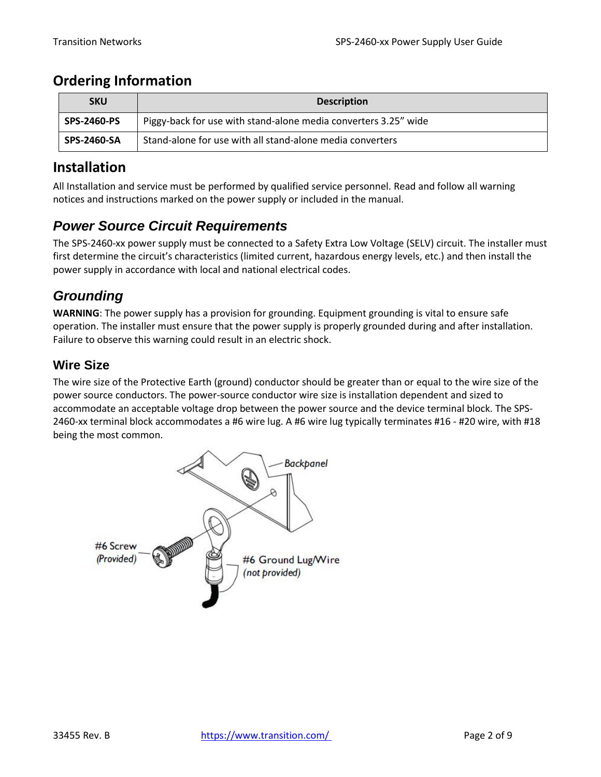## <span id="page-1-0"></span>**Ordering Information**

| <b>SKU</b>         | <b>Description</b>                                              |
|--------------------|-----------------------------------------------------------------|
| <b>SPS-2460-PS</b> | Piggy-back for use with stand-alone media converters 3.25" wide |
| <b>SPS-2460-SA</b> | Stand-alone for use with all stand-alone media converters       |

### <span id="page-1-1"></span>**Installation**

All Installation and service must be performed by qualified service personnel. Read and follow all warning notices and instructions marked on the power supply or included in the manual.

### <span id="page-1-2"></span>*Power Source Circuit Requirements*

The SPS-2460-xx power supply must be connected to a Safety Extra Low Voltage (SELV) circuit. The installer must first determine the circuit's characteristics (limited current, hazardous energy levels, etc.) and then install the power supply in accordance with local and national electrical codes.

## <span id="page-1-3"></span>*Grounding*

**WARNING**: The power supply has a provision for grounding. Equipment grounding is vital to ensure safe operation. The installer must ensure that the power supply is properly grounded during and after installation. Failure to observe this warning could result in an electric shock.

#### **Wire Size**

The wire size of the Protective Earth (ground) conductor should be greater than or equal to the wire size of the power source conductors. The power-source conductor wire size is installation dependent and sized to accommodate an acceptable voltage drop between the power source and the device terminal block. The SPS-2460-xx terminal block accommodates a #6 wire lug. A #6 wire lug typically terminates #16 - #20 wire, with #18 being the most common.

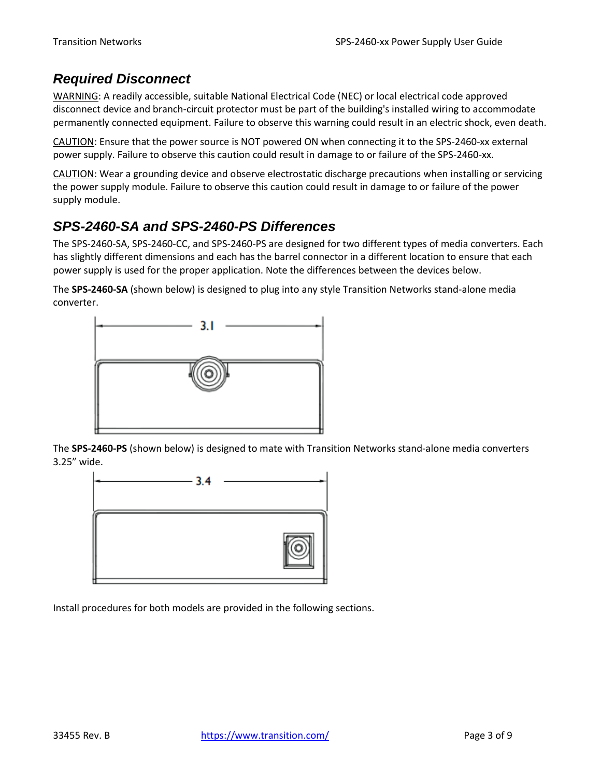### <span id="page-2-0"></span>*Required Disconnect*

WARNING: A readily accessible, suitable National Electrical Code (NEC) or local electrical code approved disconnect device and branch-circuit protector must be part of the building's installed wiring to accommodate permanently connected equipment. Failure to observe this warning could result in an electric shock, even death.

CAUTION: Ensure that the power source is NOT powered ON when connecting it to the SPS-2460-xx external power supply. Failure to observe this caution could result in damage to or failure of the SPS-2460-xx.

CAUTION: Wear a grounding device and observe electrostatic discharge precautions when installing or servicing the power supply module. Failure to observe this caution could result in damage to or failure of the power supply module.

## <span id="page-2-1"></span>*SPS-2460-SA and SPS-2460-PS Differences*

The SPS-2460-SA, SPS-2460-CC, and SPS-2460-PS are designed for two different types of media converters. Each has slightly different dimensions and each has the barrel connector in a different location to ensure that each power supply is used for the proper application. Note the differences between the devices below.

The **SPS-2460-SA** (shown below) is designed to plug into any style Transition Networks stand-alone media converter.



The **SPS-2460-PS** (shown below) is designed to mate with Transition Networks stand-alone media converters 3.25" wide.



Install procedures for both models are provided in the following sections.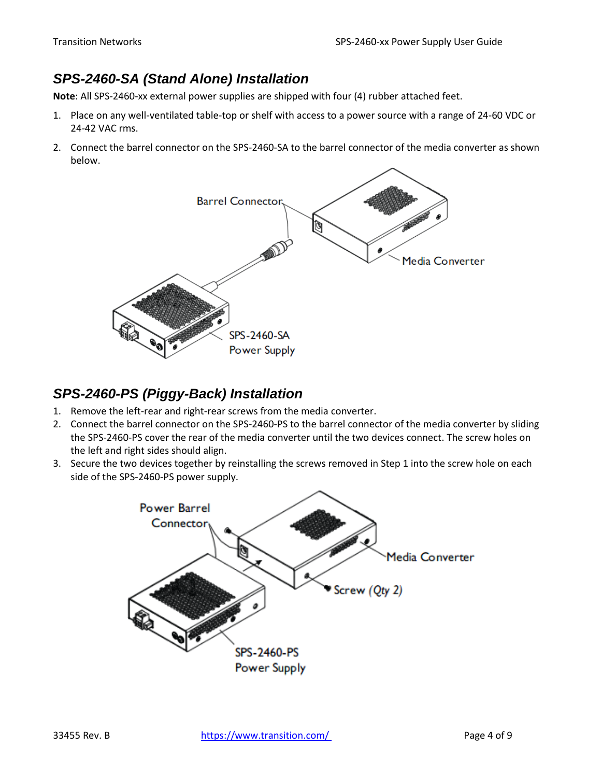## <span id="page-3-0"></span>*SPS-2460-SA (Stand Alone) Installation*

**Note**: All SPS-2460-xx external power supplies are shipped with four (4) rubber attached feet.

- 1. Place on any well-ventilated table-top or shelf with access to a power source with a range of 24-60 VDC or 24-42 VAC rms.
- 2. Connect the barrel connector on the SPS-2460-SA to the barrel connector of the media converter as shown below.



### <span id="page-3-1"></span>*SPS-2460-PS (Piggy-Back) Installation*

- 1. Remove the left-rear and right-rear screws from the media converter.
- 2. Connect the barrel connector on the SPS-2460-PS to the barrel connector of the media converter by sliding the SPS-2460-PS cover the rear of the media converter until the two devices connect. The screw holes on the left and right sides should align.
- 3. Secure the two devices together by reinstalling the screws removed in Step 1 into the screw hole on each side of the SPS-2460-PS power supply.

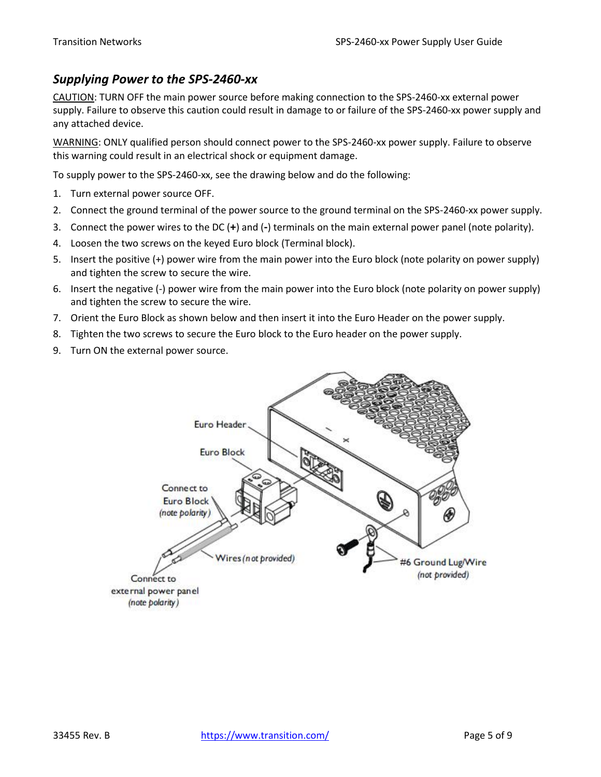#### <span id="page-4-0"></span>*Supplying Power to the SPS-2460-xx*

CAUTION: TURN OFF the main power source before making connection to the SPS-2460-xx external power supply. Failure to observe this caution could result in damage to or failure of the SPS-2460-xx power supply and any attached device.

WARNING: ONLY qualified person should connect power to the SPS-2460-xx power supply. Failure to observe this warning could result in an electrical shock or equipment damage.

To supply power to the SPS-2460-xx, see the drawing below and do the following:

- 1. Turn external power source OFF.
- 2. Connect the ground terminal of the power source to the ground terminal on the SPS-2460-xx power supply.
- 3. Connect the power wires to the DC (**+**) and (**-**) terminals on the main external power panel (note polarity).
- 4. Loosen the two screws on the keyed Euro block (Terminal block).
- 5. Insert the positive (+) power wire from the main power into the Euro block (note polarity on power supply) and tighten the screw to secure the wire.
- 6. Insert the negative (-) power wire from the main power into the Euro block (note polarity on power supply) and tighten the screw to secure the wire.
- 7. Orient the Euro Block as shown below and then insert it into the Euro Header on the power supply.
- 8. Tighten the two screws to secure the Euro block to the Euro header on the power supply.
- 9. Turn ON the external power source.

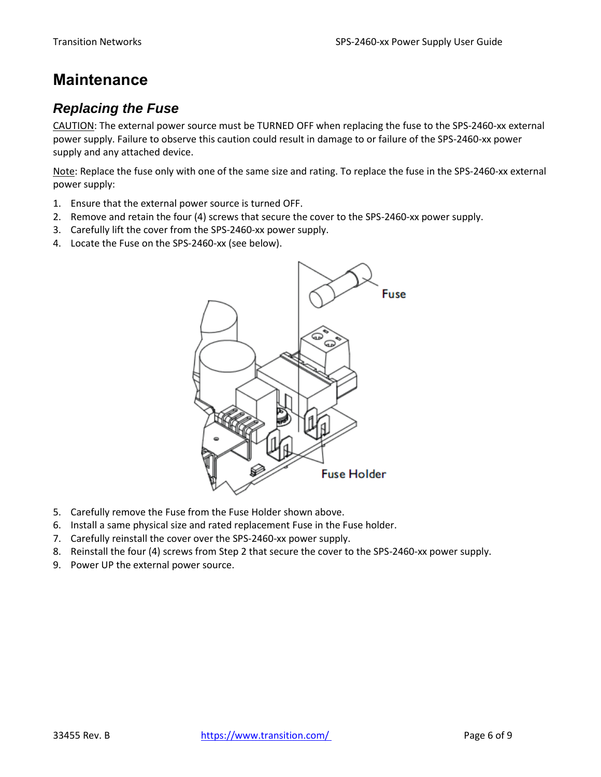# <span id="page-5-0"></span>**Maintenance**

## <span id="page-5-1"></span>*Replacing the Fuse*

CAUTION: The external power source must be TURNED OFF when replacing the fuse to the SPS-2460-xx external power supply. Failure to observe this caution could result in damage to or failure of the SPS-2460-xx power supply and any attached device.

Note: Replace the fuse only with one of the same size and rating. To replace the fuse in the SPS-2460-xx external power supply:

- 1. Ensure that the external power source is turned OFF.
- 2. Remove and retain the four (4) screws that secure the cover to the SPS-2460-xx power supply.
- 3. Carefully lift the cover from the SPS-2460-xx power supply.
- 4. Locate the Fuse on the SPS-2460-xx (see below).



- 5. Carefully remove the Fuse from the Fuse Holder shown above.
- 6. Install a same physical size and rated replacement Fuse in the Fuse holder.
- 7. Carefully reinstall the cover over the SPS-2460-xx power supply.
- 8. Reinstall the four (4) screws from Step 2 that secure the cover to the SPS-2460-xx power supply.
- 9. Power UP the external power source.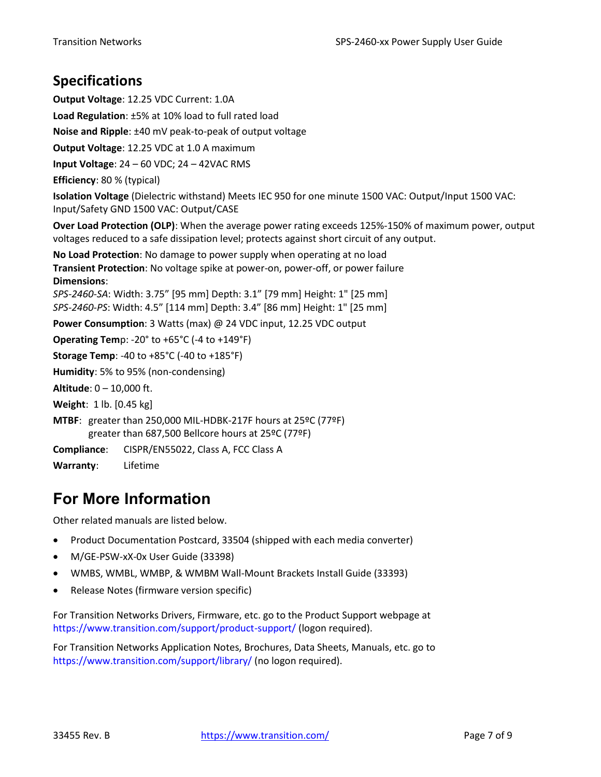## <span id="page-6-0"></span>**Specifications**

**Output Voltage**: 12.25 VDC Current: 1.0A **Load Regulation**: ±5% at 10% load to full rated load **Noise and Ripple**: ±40 mV peak-to-peak of output voltage **Output Voltage**: 12.25 VDC at 1.0 A maximum **Input Voltage**: 24 – 60 VDC; 24 – 42VAC RMS **Efficiency**: 80 % (typical) **Isolation Voltage** (Dielectric withstand) Meets IEC 950 for one minute 1500 VAC: Output/Input 1500 VAC: Input/Safety GND 1500 VAC: Output/CASE **Over Load Protection (OLP)**: When the average power rating exceeds 125%-150% of maximum power, output voltages reduced to a safe dissipation level; protects against short circuit of any output. **No Load Protection**: No damage to power supply when operating at no load **Transient Protection**: No voltage spike at power-on, power-off, or power failure **Dimensions**: *SPS-2460-SA*: Width: 3.75" [95 mm] Depth: 3.1" [79 mm] Height: 1" [25 mm] *SPS-2460-PS*: Width: 4.5" [114 mm] Depth: 3.4" [86 mm] Height: 1" [25 mm] **Power Consumption**: 3 Watts (max) @ 24 VDC input, 12.25 VDC output **Operating Tem**p: -20° to +65°C (-4 to +149°F) **Storage Temp**: -40 to +85°C (-40 to +185°F) **Humidity**: 5% to 95% (non-condensing) **Altitude**: 0 – 10,000 ft. **Weight**: 1 lb. [0.45 kg] **MTBF**: greater than 250,000 MIL-HDBK-217F hours at 25ºC (77ºF) greater than 687,500 Bellcore hours at 25ºC (77ºF) **Compliance**: CISPR/EN55022, Class A, FCC Class A **Warranty**: Lifetime

# <span id="page-6-1"></span>**For More Information**

Other related manuals are listed below.

- Product Documentation Postcard, 33504 (shipped with each media converter)
- M/GE-PSW-xX-0x User Guide (33398)
- WMBS, WMBL, WMBP, & WMBM Wall-Mount Brackets Install Guide (33393)
- Release Notes (firmware version specific)

For Transition Networks Drivers, Firmware, etc. go to the Product Support webpage at <https://www.transition.com/support/product-support/> (logon required).

For Transition Networks Application Notes, Brochures, Data Sheets, Manuals, etc. go to <https://www.transition.com/support/library/> (no logon required).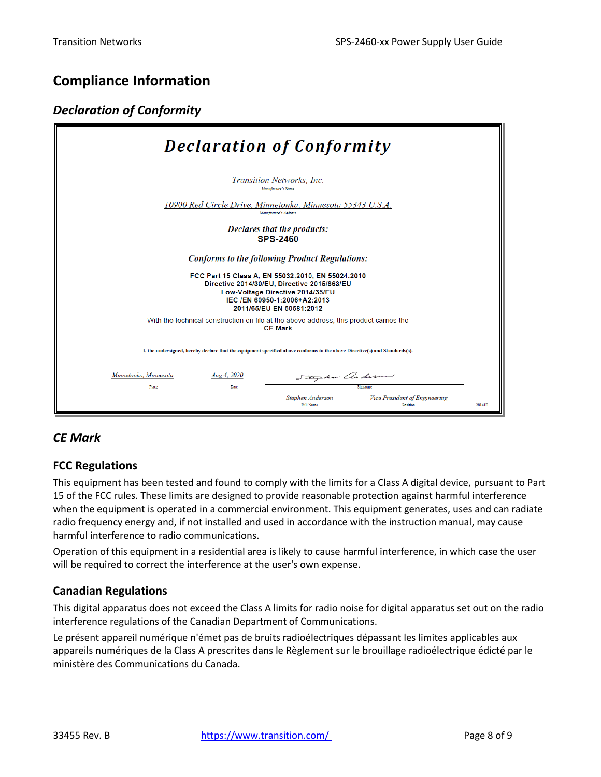## <span id="page-7-0"></span>**Compliance Information**

#### <span id="page-7-1"></span>*Declaration of Conformity*

| <b>Declaration of Conformity</b>                                                                                                                                                                 |                                      |                                                         |        |  |  |
|--------------------------------------------------------------------------------------------------------------------------------------------------------------------------------------------------|--------------------------------------|---------------------------------------------------------|--------|--|--|
| Transition Networks, Inc.<br>Manufacture's Name                                                                                                                                                  |                                      |                                                         |        |  |  |
| 10900 Red Circle Drive, Minnetonka, Minnesota 55343 U.S.A.<br>Manufacture's Address                                                                                                              |                                      |                                                         |        |  |  |
| Declares that the products:<br><b>SPS-2460</b>                                                                                                                                                   |                                      |                                                         |        |  |  |
| Conforms to the following Product Regulations:                                                                                                                                                   |                                      |                                                         |        |  |  |
| FCC Part 15 Class A, EN 55032:2010, EN 55024:2010<br>Directive 2014/30/EU, Directive 2015/863/EU<br>Low-Voltage Directive 2014/35/EU<br>IEC /EN 60950-1:2006+A2:2013<br>2011/65/EU EN 50581:2012 |                                      |                                                         |        |  |  |
| With the technical construction on file at the above address, this product carries the<br><b>CE Mark</b>                                                                                         |                                      |                                                         |        |  |  |
| I, the undersigned, hereby declare that the equipment specified above conforms to the above Directive(s) and Standards(s).                                                                       |                                      |                                                         |        |  |  |
| Minnetonka, Minnesota<br>Aug 4, 2020                                                                                                                                                             | Stephen anderson                     |                                                         |        |  |  |
| Place<br>Date                                                                                                                                                                                    | Stephen Anderson<br><b>Full Name</b> | Silemature<br>Vice President of Engineering<br>Position | 28141B |  |  |

#### <span id="page-7-2"></span>*CE Mark*

#### **FCC Regulations**

This equipment has been tested and found to comply with the limits for a Class A digital device, pursuant to Part 15 of the FCC rules. These limits are designed to provide reasonable protection against harmful interference when the equipment is operated in a commercial environment. This equipment generates, uses and can radiate radio frequency energy and, if not installed and used in accordance with the instruction manual, may cause harmful interference to radio communications.

Operation of this equipment in a residential area is likely to cause harmful interference, in which case the user will be required to correct the interference at the user's own expense.

#### **Canadian Regulations**

This digital apparatus does not exceed the Class A limits for radio noise for digital apparatus set out on the radio interference regulations of the Canadian Department of Communications.

Le présent appareil numérique n'émet pas de bruits radioélectriques dépassant les limites applicables aux appareils numériques de la Class A prescrites dans le Règlement sur le brouillage radioélectrique édicté par le ministère des Communications du Canada.